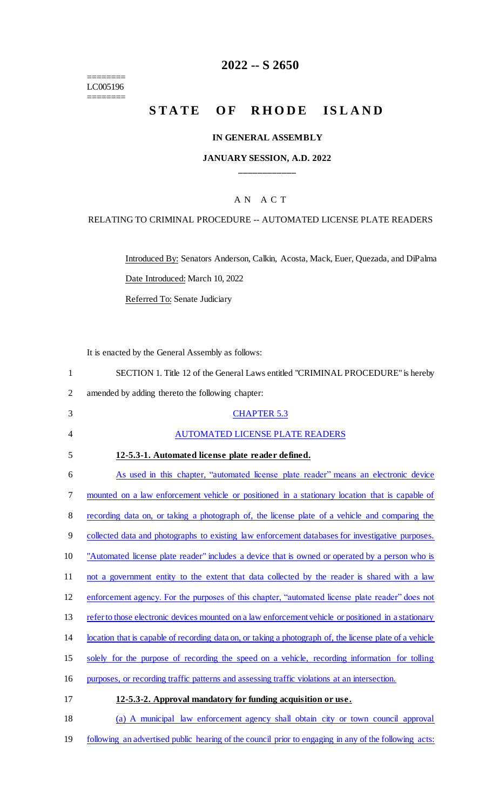======== LC005196 ========

# **2022 -- S 2650**

# **STATE OF RHODE ISLAND**

### **IN GENERAL ASSEMBLY**

### **JANUARY SESSION, A.D. 2022 \_\_\_\_\_\_\_\_\_\_\_\_**

## A N A C T

### RELATING TO CRIMINAL PROCEDURE -- AUTOMATED LICENSE PLATE READERS

Introduced By: Senators Anderson, Calkin, Acosta, Mack, Euer, Quezada, and DiPalma Date Introduced: March 10, 2022

Referred To: Senate Judiciary

It is enacted by the General Assembly as follows:

| SECTION 1. Title 12 of the General Laws entitled "CRIMINAL PROCEDURE" is hereby                          |
|----------------------------------------------------------------------------------------------------------|
| amended by adding thereto the following chapter:                                                         |
| <b>CHAPTER 5.3</b>                                                                                       |
| <b>AUTOMATED LICENSE PLATE READERS</b>                                                                   |
| 12-5.3-1. Automated license plate reader defined.                                                        |
| As used in this chapter, "automated license plate reader" means an electronic device                     |
| mounted on a law enforcement vehicle or positioned in a stationary location that is capable of           |
| recording data on, or taking a photograph of, the license plate of a vehicle and comparing the           |
| collected data and photographs to existing law enforcement databases for investigative purposes.         |
| "Automated license plate reader" includes a device that is owned or operated by a person who is          |
| not a government entity to the extent that data collected by the reader is shared with a law             |
| enforcement agency. For the purposes of this chapter, "automated license plate reader" does not          |
| refer to those electronic devices mounted on a law enforcement vehicle or positioned in a stationary     |
| location that is capable of recording data on, or taking a photograph of, the license plate of a vehicle |
| solely for the purpose of recording the speed on a vehicle, recording information for tolling            |
| purposes, or recording traffic patterns and assessing traffic violations at an intersection.             |
| 12-5.3-2. Approval mandatory for funding acquisition or use.                                             |
| (a) A municipal law enforcement agency shall obtain city or town council approval                        |
|                                                                                                          |

19 following an advertised public hearing of the council prior to engaging in any of the following acts: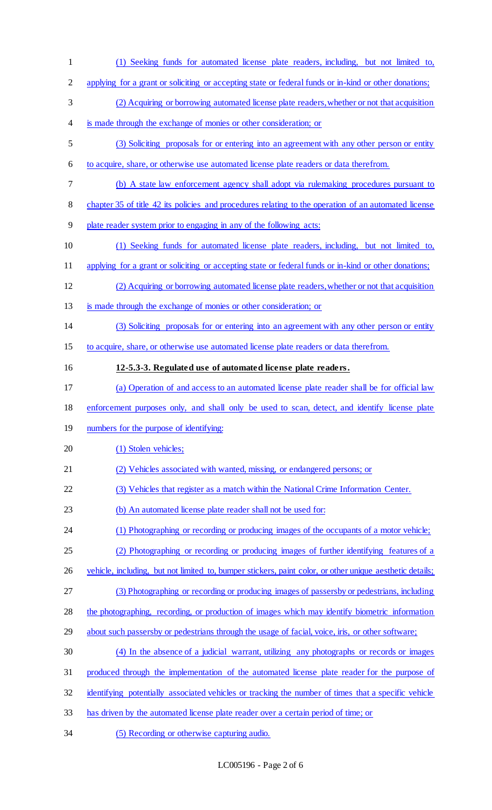| $\mathbf{1}$   | (1) Seeking funds for automated license plate readers, including, but not limited to,                    |
|----------------|----------------------------------------------------------------------------------------------------------|
| $\overline{2}$ | applying for a grant or soliciting or accepting state or federal funds or in-kind or other donations;    |
| 3              | (2) Acquiring or borrowing automated license plate readers, whether or not that acquisition              |
| 4              | is made through the exchange of monies or other consideration; or                                        |
| 5              | (3) Soliciting proposals for or entering into an agreement with any other person or entity               |
| 6              | to acquire, share, or otherwise use automated license plate readers or data therefrom.                   |
| 7              | (b) A state law enforcement agency shall adopt via rulemaking procedures pursuant to                     |
| 8              | chapter 35 of title 42 its policies and procedures relating to the operation of an automated license     |
| 9              | plate reader system prior to engaging in any of the following acts:                                      |
| 10             | (1) Seeking funds for automated license plate readers, including, but not limited to,                    |
| 11             | applying for a grant or soliciting or accepting state or federal funds or in-kind or other donations;    |
| 12             | (2) Acquiring or borrowing automated license plate readers, whether or not that acquisition              |
| 13             | is made through the exchange of monies or other consideration; or                                        |
| 14             | (3) Soliciting proposals for or entering into an agreement with any other person or entity               |
| 15             | to acquire, share, or otherwise use automated license plate readers or data therefrom.                   |
| 16             | 12-5.3-3. Regulated use of automated license plate readers.                                              |
| 17             | (a) Operation of and access to an automated license plate reader shall be for official law               |
| 18             | enforcement purposes only, and shall only be used to scan, detect, and identify license plate            |
| 19             | numbers for the purpose of identifying:                                                                  |
| 20             | (1) Stolen vehicles;                                                                                     |
| 21             | (2) Vehicles associated with wanted, missing, or endangered persons; or                                  |
| 22             | (3) Vehicles that register as a match within the National Crime Information Center.                      |
| 23             | (b) An automated license plate reader shall not be used for:                                             |
| 24             | (1) Photographing or recording or producing images of the occupants of a motor vehicle;                  |
| 25             | (2) Photographing or recording or producing images of further identifying features of a                  |
| 26             | vehicle, including, but not limited to, bumper stickers, paint color, or other unique aesthetic details; |
| 27             | (3) Photographing or recording or producing images of passersby or pedestrians, including                |
| 28             | the photographing, recording, or production of images which may identify biometric information           |
| 29             | about such passersby or pedestrians through the usage of facial, voice, iris, or other software;         |
| 30             | (4) In the absence of a judicial warrant, utilizing any photographs or records or images                 |
| 31             | produced through the implementation of the automated license plate reader for the purpose of             |
| 32             | identifying potentially associated vehicles or tracking the number of times that a specific vehicle      |
| 33             | has driven by the automated license plate reader over a certain period of time; or                       |
|                |                                                                                                          |

34 (5) Recording or otherwise capturing audio.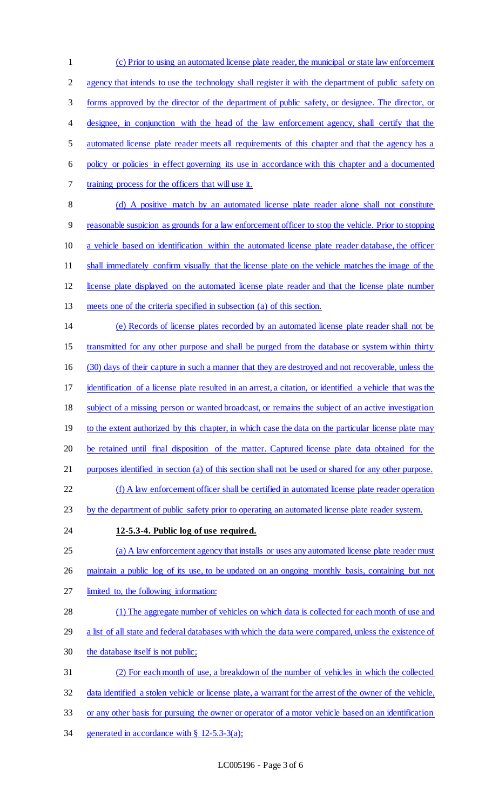(c) Prior to using an automated license plate reader, the municipal or state law enforcement agency that intends to use the technology shall register it with the department of public safety on forms approved by the director of the department of public safety, or designee. The director, or designee, in conjunction with the head of the law enforcement agency, shall certify that the automated license plate reader meets all requirements of this chapter and that the agency has a policy or policies in effect governing its use in accordance with this chapter and a documented training process for the officers that will use it. 8 (d) A positive match by an automated license plate reader alone shall not constitute reasonable suspicion as grounds for a law enforcement officer to stop the vehicle. Prior to stopping a vehicle based on identification within the automated license plate reader database, the officer shall immediately confirm visually that the license plate on the vehicle matches the image of the license plate displayed on the automated license plate reader and that the license plate number meets one of the criteria specified in subsection (a) of this section. (e) Records of license plates recorded by an automated license plate reader shall not be transmitted for any other purpose and shall be purged from the database or system within thirty (30) days of their capture in such a manner that they are destroyed and not recoverable, unless the identification of a license plate resulted in an arrest, a citation, or identified a vehicle that was the subject of a missing person or wanted broadcast, or remains the subject of an active investigation 19 to the extent authorized by this chapter, in which case the data on the particular license plate may be retained until final disposition of the matter. Captured license plate data obtained for the purposes identified in section (a) of this section shall not be used or shared for any other purpose. (f) A law enforcement officer shall be certified in automated license plate reader operation by the department of public safety prior to operating an automated license plate reader system. **12-5.3-4. Public log of use required.**  (a) A law enforcement agency that installs or uses any automated license plate reader must 26 maintain a public log of its use, to be updated on an ongoing monthly basis, containing but not limited to, the following information: (1) The aggregate number of vehicles on which data is collected for each month of use and a list of all state and federal databases with which the data were compared, unless the existence of the database itself is not public; (2) For each month of use, a breakdown of the number of vehicles in which the collected data identified a stolen vehicle or license plate, a warrant for the arrest of the owner of the vehicle, or any other basis for pursuing the owner or operator of a motor vehicle based on an identification generated in accordance with § 12-5.3-3(a);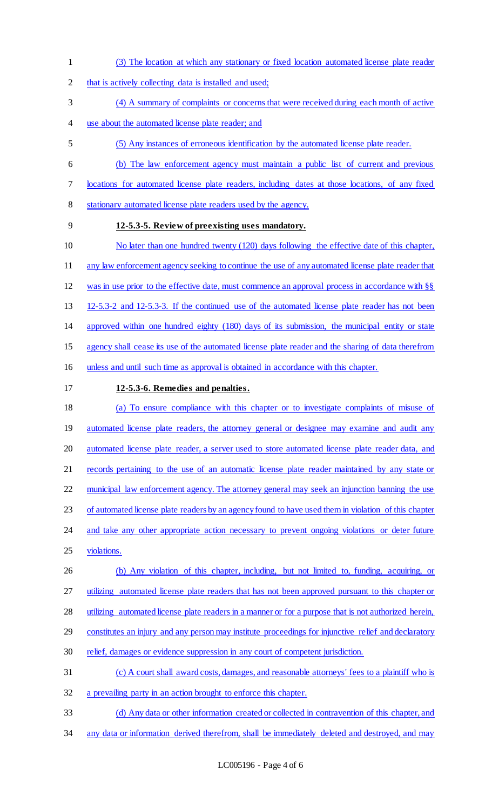- (3) The location at which any stationary or fixed location automated license plate reader
- 2 that is actively collecting data is installed and used;
- (4) A summary of complaints or concerns that were received during each month of active
- use about the automated license plate reader; and
- (5) Any instances of erroneous identification by the automated license plate reader.
- (b) The law enforcement agency must maintain a public list of current and previous
- locations for automated license plate readers, including dates at those locations, of any fixed
- stationary automated license plate readers used by the agency.
- 

# **12-5.3-5. Review of preexisting uses mandatory.**

- No later than one hundred twenty (120) days following the effective date of this chapter,
- any law enforcement agency seeking to continue the use of any automated license plate reader that
- was in use prior to the effective date, must commence an approval process in accordance with §§
- 12-5.3-2 and 12-5.3-3. If the continued use of the automated license plate reader has not been
- approved within one hundred eighty (180) days of its submission, the municipal entity or state
- agency shall cease its use of the automated license plate reader and the sharing of data therefrom
- unless and until such time as approval is obtained in accordance with this chapter.
- **12-5.3-6. Remedies and penalties.**

# (a) To ensure compliance with this chapter or to investigate complaints of misuse of 19 automated license plate readers, the attorney general or designee may examine and audit any automated license plate reader, a server used to store automated license plate reader data, and records pertaining to the use of an automatic license plate reader maintained by any state or municipal law enforcement agency. The attorney general may seek an injunction banning the use of automated license plate readers by an agency found to have used them in violation of this chapter

- 24 and take any other appropriate action necessary to prevent ongoing violations or deter future violations.
- (b) Any violation of this chapter, including, but not limited to, funding, acquiring, or
- utilizing automated license plate readers that has not been approved pursuant to this chapter or
- utilizing automated license plate readers in a manner or for a purpose that is not authorized herein,
- constitutes an injury and any person may institute proceedings for injunctive relief and declaratory
- relief, damages or evidence suppression in any court of competent jurisdiction.
- (c) A court shall award costs, damages, and reasonable attorneys' fees to a plaintiff who is
- a prevailing party in an action brought to enforce this chapter.
- (d) Any data or other information created or collected in contravention of this chapter, and 34 any data or information derived therefrom, shall be immediately deleted and destroyed, and may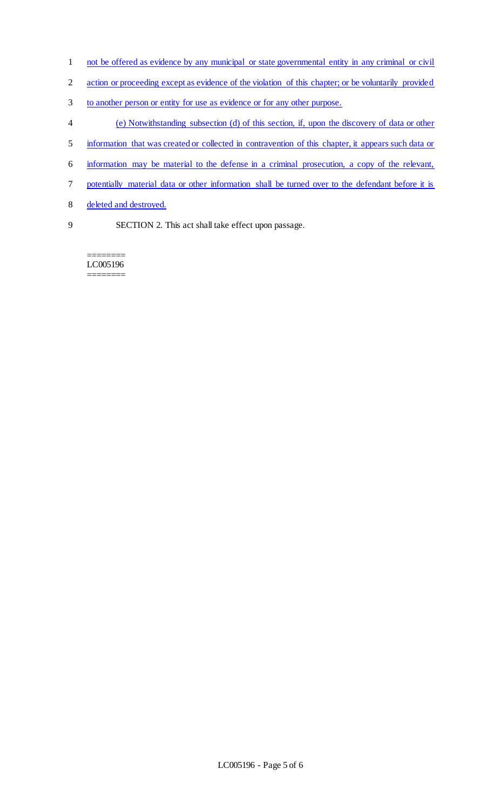- not be offered as evidence by any municipal or state governmental entity in any criminal or civil
- action or proceeding except as evidence of the violation of this chapter; or be voluntarily provided
- to another person or entity for use as evidence or for any other purpose.
- (e) Notwithstanding subsection (d) of this section, if, upon the discovery of data or other
- information that was created or collected in contravention of this chapter, it appears such data or
- information may be material to the defense in a criminal prosecution, a copy of the relevant,
- potentially material data or other information shall be turned over to the defendant before it is
- deleted and destroyed.
- 
- SECTION 2. This act shall take effect upon passage.

======== LC005196 ========